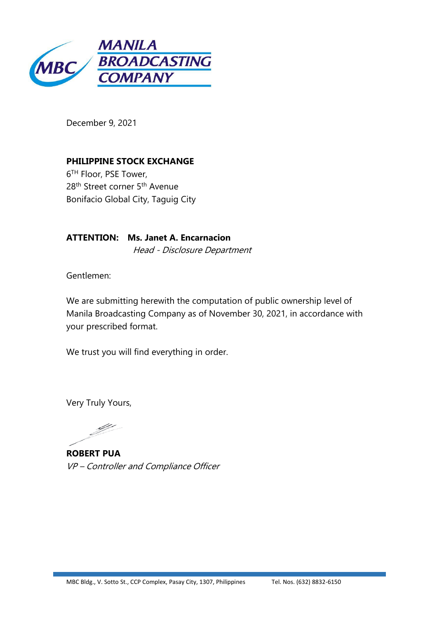

December 9, 2021

**PHILIPPINE STOCK EXCHANGE** 6 TH Floor, PSE Tower, 28<sup>th</sup> Street corner 5<sup>th</sup> Avenue Bonifacio Global City, Taguig City

**ATTENTION: Ms. Janet A. Encarnacion** Head - Disclosure Department

Gentlemen:

We are submitting herewith the computation of public ownership level of Manila Broadcasting Company as of November 30, 2021, in accordance with your prescribed format.

We trust you will find everything in order.

Very Truly Yours,

**ROBERT PUA** VP – Controller and Compliance Officer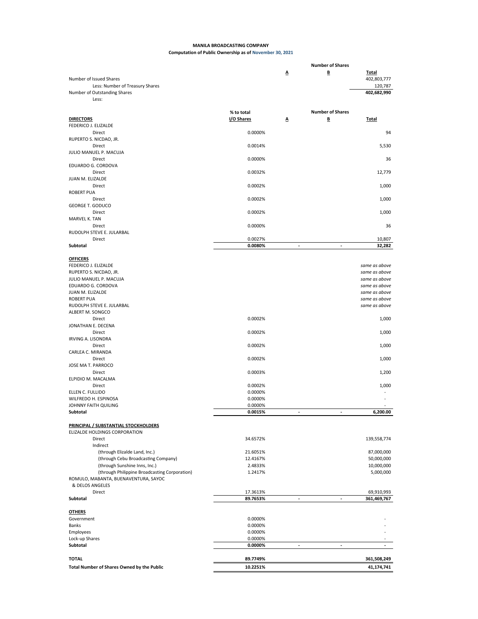## **MANILA BROADCASTING COMPANY Computation of Public Ownership as of November 30, 2021**

|                                                                 |                      |                          | <b>Number of Shares</b> |                                |
|-----------------------------------------------------------------|----------------------|--------------------------|-------------------------|--------------------------------|
| Number of Issued Shares                                         |                      | Δ                        | B                       | <b>Total</b><br>402,803,777    |
| Less: Number of Treasury Shares<br>Number of Outstanding Shares |                      |                          |                         | 120,787<br>402,682,990         |
| Less:                                                           |                      |                          |                         |                                |
|                                                                 | % to total           |                          | <b>Number of Shares</b> |                                |
| <b>DIRECTORS</b>                                                | I/O Shares           | Δ                        | B                       | Total                          |
| FEDERICO J. ELIZALDE                                            |                      |                          |                         |                                |
| Direct<br>RUPERTO S. NICDAO, JR.                                | 0.0000%              |                          |                         | 94                             |
| Direct                                                          | 0.0014%              |                          |                         | 5,530                          |
| JULIO MANUEL P. MACUJA                                          |                      |                          |                         |                                |
| Direct                                                          | 0.0000%              |                          |                         | 36                             |
| EDUARDO G. CORDOVA                                              |                      |                          |                         |                                |
| Direct                                                          | 0.0032%              |                          |                         | 12,779                         |
| JUAN M. ELIZALDE                                                |                      |                          |                         |                                |
| Direct<br><b>ROBERT PUA</b>                                     | 0.0002%              |                          |                         | 1,000                          |
| Direct                                                          | 0.0002%              |                          |                         | 1,000                          |
| <b>GEORGE T. GODUCO</b>                                         |                      |                          |                         |                                |
| Direct                                                          | 0.0002%              |                          |                         | 1,000                          |
| MARVEL K. TAN                                                   |                      |                          |                         |                                |
| Direct                                                          | 0.0000%              |                          |                         | 36                             |
| RUDOLPH STEVE E. JULARBAL                                       |                      |                          |                         |                                |
| Direct<br>Subtotal                                              | 0.0027%<br>0.0080%   | $\overline{\phantom{a}}$ | ÷.                      | 10,807<br>32,282               |
|                                                                 |                      |                          |                         |                                |
| <b>OFFICERS</b>                                                 |                      |                          |                         |                                |
| FEDERICO J. ELIZALDE                                            |                      |                          |                         | same as above                  |
| RUPERTO S. NICDAO, JR.                                          |                      |                          |                         | same as above                  |
| JULIO MANUEL P. MACUJA                                          |                      |                          |                         | same as above                  |
| EDUARDO G. CORDOVA                                              |                      |                          |                         | same as above                  |
| JUAN M. ELIZALDE<br><b>ROBERT PUA</b>                           |                      |                          |                         | same as above<br>same as above |
| RUDOLPH STEVE E. JULARBAL                                       |                      |                          |                         | same as above                  |
| ALBERT M. SONGCO                                                |                      |                          |                         |                                |
| Direct                                                          | 0.0002%              |                          |                         | 1,000                          |
| JONATHAN E. DECENA                                              |                      |                          |                         |                                |
| Direct                                                          | 0.0002%              |                          |                         | 1,000                          |
| IRVING A. LISONDRA<br>Direct                                    | 0.0002%              |                          |                         |                                |
| CARLEA C. MIRANDA                                               |                      |                          |                         | 1,000                          |
| Direct                                                          | 0.0002%              |                          |                         | 1,000                          |
| JOSE MA T. PARROCO                                              |                      |                          |                         |                                |
| Direct                                                          | 0.0003%              |                          |                         | 1,200                          |
| ELPIDIO M. MACALMA                                              |                      |                          |                         |                                |
| Direct                                                          | 0.0002%              |                          |                         | 1,000                          |
| ELLEN C. FULLIDO<br>WILFREDO H. ESPINOSA                        | 0.0000%<br>0.0000%   |                          |                         |                                |
| JOHNNY FAITH QUILING                                            | 0.0000%              |                          |                         |                                |
| Subtotal                                                        | 0.0015%              |                          |                         | 6,200.00                       |
|                                                                 |                      |                          |                         |                                |
| <b>PRINCIPAL / SUBSTANTIAL STOCKHOLDERS</b>                     |                      |                          |                         |                                |
| ELIZALDE HOLDINGS CORPORATION                                   |                      |                          |                         |                                |
| Direct<br>Indirect                                              | 34.6572%             |                          |                         | 139,558,774                    |
| (through Elizalde Land, Inc.)                                   | 21.6051%             |                          |                         | 87,000,000                     |
| (through Cebu Broadcasting Company)                             | 12.4167%             |                          |                         | 50,000,000                     |
| (through Sunshine Inns, Inc.)                                   | 2.4833%              |                          |                         | 10,000,000                     |
| (through Philippine Broadcasting Corporation)                   | 1.2417%              |                          |                         | 5,000,000                      |
| ROMULO, MABANTA, BUENAVENTURA, SAYOC                            |                      |                          |                         |                                |
| & DELOS ANGELES                                                 |                      |                          |                         |                                |
| Direct<br>Subtotal                                              | 17.3613%<br>89.7653% | ٠                        | ٠                       | 69,910,993<br>361,469,767      |
|                                                                 |                      |                          |                         |                                |
| <b>OTHERS</b>                                                   |                      |                          |                         |                                |
| Government                                                      | 0.0000%              |                          |                         |                                |
| Banks                                                           | 0.0000%              |                          |                         |                                |
| Employees                                                       | 0.0000%              |                          |                         |                                |
| Lock-up Shares                                                  | 0.0000%              | $\blacksquare$           |                         |                                |
| Subtotal                                                        | 0.0000%              |                          |                         |                                |
| <b>TOTAL</b>                                                    | 89.7749%             |                          |                         | 361,508,249                    |
| Total Number of Shares Owned by the Public                      | 10.2251%             |                          |                         | 41,174,741                     |